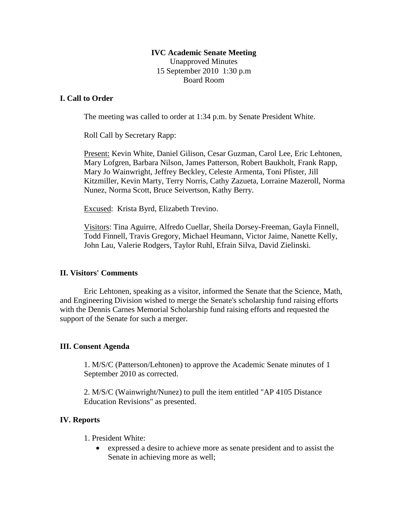# **IVC Academic Senate Meeting** Unapproved Minutes 15 September 2010 1:30 p.m Board Room

# **I. Call to Order**

The meeting was called to order at 1:34 p.m. by Senate President White.

Roll Call by Secretary Rapp:

Present: Kevin White, Daniel Gilison, Cesar Guzman, Carol Lee, Eric Lehtonen, Mary Lofgren, Barbara Nilson, James Patterson, Robert Baukholt, Frank Rapp, Mary Jo Wainwright, Jeffrey Beckley, Celeste Armenta, Toni Pfister, Jill Kitzmiller, Kevin Marty, Terry Norris, Cathy Zazueta, Lorraine Mazeroll, Norma Nunez, Norma Scott, Bruce Seivertson, Kathy Berry.

Excused: Krista Byrd, Elizabeth Trevino.

Visitors: Tina Aguirre, Alfredo Cuellar, Sheila Dorsey-Freeman, Gayla Finnell, Todd Finnell, Travis Gregory, Michael Heumann, Victor Jaime, Nanette Kelly, John Lau, Valerie Rodgers, Taylor Ruhl, Efrain Silva, David Zielinski.

### **II. Visitors' Comments**

Eric Lehtonen, speaking as a visitor, informed the Senate that the Science, Math, and Engineering Division wished to merge the Senate's scholarship fund raising efforts with the Dennis Carnes Memorial Scholarship fund raising efforts and requested the support of the Senate for such a merger.

### **III. Consent Agenda**

1. M/S/C (Patterson/Lehtonen) to approve the Academic Senate minutes of 1 September 2010 as corrected.

2. M/S/C (Wainwright/Nunez) to pull the item entitled "AP 4105 Distance Education Revisions" as presented.

### **IV. Reports**

- 1. President White:
	- expressed a desire to achieve more as senate president and to assist the Senate in achieving more as well;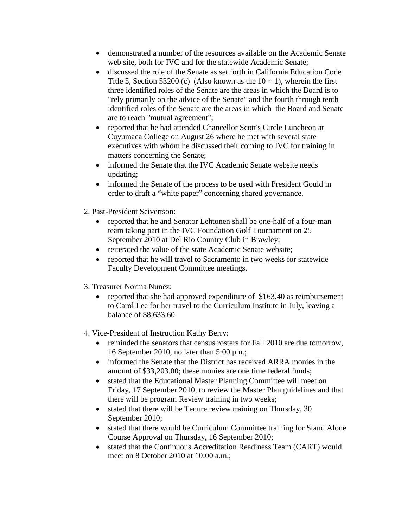- demonstrated a number of the resources available on the Academic Senate web site, both for IVC and for the statewide Academic Senate;
- discussed the role of the Senate as set forth in California Education Code Title 5, Section 53200 (c) (Also known as the  $10 + 1$ ), wherein the first three identified roles of the Senate are the areas in which the Board is to "rely primarily on the advice of the Senate" and the fourth through tenth identified roles of the Senate are the areas in which the Board and Senate are to reach "mutual agreement";
- reported that he had attended Chancellor Scott's Circle Luncheon at Cuyumaca College on August 26 where he met with several state executives with whom he discussed their coming to IVC for training in matters concerning the Senate;
- informed the Senate that the IVC Academic Senate website needs updating;
- informed the Senate of the process to be used with President Gould in order to draft a "white paper" concerning shared governance.
- 2. Past-President Seivertson:
	- reported that he and Senator Lehtonen shall be one-half of a four-man team taking part in the IVC Foundation Golf Tournament on 25 September 2010 at Del Rio Country Club in Brawley;
	- reiterated the value of the state Academic Senate website:
	- reported that he will travel to Sacramento in two weeks for statewide Faculty Development Committee meetings.
- 3. Treasurer Norma Nunez:
	- reported that she had approved expenditure of \$163.40 as reimbursement to Carol Lee for her travel to the Curriculum Institute in July, leaving a balance of \$8,633.60.
- 4. Vice-President of Instruction Kathy Berry:
	- reminded the senators that census rosters for Fall 2010 are due tomorrow, 16 September 2010, no later than 5:00 pm.;
	- informed the Senate that the District has received ARRA monies in the amount of \$33,203.00; these monies are one time federal funds;
	- stated that the Educational Master Planning Committee will meet on Friday, 17 September 2010, to review the Master Plan guidelines and that there will be program Review training in two weeks;
	- stated that there will be Tenure review training on Thursday, 30 September 2010;
	- stated that there would be Curriculum Committee training for Stand Alone Course Approval on Thursday, 16 September 2010;
	- stated that the Continuous Accreditation Readiness Team (CART) would meet on 8 October 2010 at 10:00 a.m.;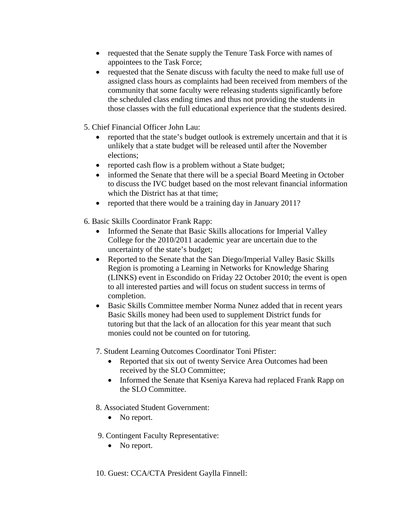- requested that the Senate supply the Tenure Task Force with names of appointees to the Task Force;
- requested that the Senate discuss with faculty the need to make full use of assigned class hours as complaints had been received from members of the community that some faculty were releasing students significantly before the scheduled class ending times and thus not providing the students in those classes with the full educational experience that the students desired.
- 5. Chief Financial Officer John Lau:
	- reported that the state's budget outlook is extremely uncertain and that it is unlikely that a state budget will be released until after the November elections;
	- reported cash flow is a problem without a State budget;
	- informed the Senate that there will be a special Board Meeting in October to discuss the IVC budget based on the most relevant financial information which the District has at that time;
	- reported that there would be a training day in January 2011?
- 6. Basic Skills Coordinator Frank Rapp:
	- Informed the Senate that Basic Skills allocations for Imperial Valley College for the 2010/2011 academic year are uncertain due to the uncertainty of the state's budget;
	- Reported to the Senate that the San Diego/Imperial Valley Basic Skills Region is promoting a Learning in Networks for Knowledge Sharing (LINKS) event in Escondido on Friday 22 October 2010; the event is open to all interested parties and will focus on student success in terms of completion.
	- Basic Skills Committee member Norma Nunez added that in recent years Basic Skills money had been used to supplement District funds for tutoring but that the lack of an allocation for this year meant that such monies could not be counted on for tutoring.
	- 7. Student Learning Outcomes Coordinator Toni Pfister:
		- Reported that six out of twenty Service Area Outcomes had been received by the SLO Committee;
		- Informed the Senate that Kseniya Kareva had replaced Frank Rapp on the SLO Committee.
	- 8. Associated Student Government:
		- No report.
	- 9. Contingent Faculty Representative:
		- No report.
	- 10. Guest: CCA/CTA President Gaylla Finnell: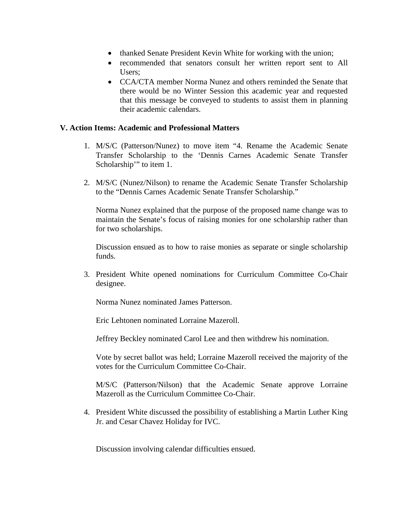- thanked Senate President Kevin White for working with the union;
- recommended that senators consult her written report sent to All Users;
- CCA/CTA member Norma Nunez and others reminded the Senate that there would be no Winter Session this academic year and requested that this message be conveyed to students to assist them in planning their academic calendars.

### **V. Action Items: Academic and Professional Matters**

- 1. M/S/C (Patterson/Nunez) to move item "4. Rename the Academic Senate Transfer Scholarship to the 'Dennis Carnes Academic Senate Transfer Scholarship" to item 1.
- 2. M/S/C (Nunez/Nilson) to rename the Academic Senate Transfer Scholarship to the "Dennis Carnes Academic Senate Transfer Scholarship."

Norma Nunez explained that the purpose of the proposed name change was to maintain the Senate's focus of raising monies for one scholarship rather than for two scholarships.

Discussion ensued as to how to raise monies as separate or single scholarship funds.

3. President White opened nominations for Curriculum Committee Co-Chair designee.

Norma Nunez nominated James Patterson.

Eric Lehtonen nominated Lorraine Mazeroll.

Jeffrey Beckley nominated Carol Lee and then withdrew his nomination.

Vote by secret ballot was held; Lorraine Mazeroll received the majority of the votes for the Curriculum Committee Co-Chair.

M/S/C (Patterson/Nilson) that the Academic Senate approve Lorraine Mazeroll as the Curriculum Committee Co-Chair.

4. President White discussed the possibility of establishing a Martin Luther King Jr. and Cesar Chavez Holiday for IVC.

Discussion involving calendar difficulties ensued.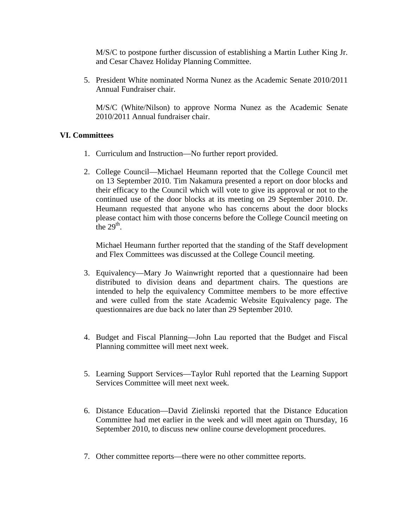M/S/C to postpone further discussion of establishing a Martin Luther King Jr. and Cesar Chavez Holiday Planning Committee.

5. President White nominated Norma Nunez as the Academic Senate 2010/2011 Annual Fundraiser chair.

M/S/C (White/Nilson) to approve Norma Nunez as the Academic Senate 2010/2011 Annual fundraiser chair.

# **VI. Committees**

- 1. Curriculum and Instruction—No further report provided.
- 2. College Council—Michael Heumann reported that the College Council met on 13 September 2010. Tim Nakamura presented a report on door blocks and their efficacy to the Council which will vote to give its approval or not to the continued use of the door blocks at its meeting on 29 September 2010. Dr. Heumann requested that anyone who has concerns about the door blocks please contact him with those concerns before the College Council meeting on the  $29<sup>th</sup>$ .

Michael Heumann further reported that the standing of the Staff development and Flex Committees was discussed at the College Council meeting.

- 3. Equivalency—Mary Jo Wainwright reported that a questionnaire had been distributed to division deans and department chairs. The questions are intended to help the equivalency Committee members to be more effective and were culled from the state Academic Website Equivalency page. The questionnaires are due back no later than 29 September 2010.
- 4. Budget and Fiscal Planning—John Lau reported that the Budget and Fiscal Planning committee will meet next week.
- 5. Learning Support Services—Taylor Ruhl reported that the Learning Support Services Committee will meet next week.
- 6. Distance Education—David Zielinski reported that the Distance Education Committee had met earlier in the week and will meet again on Thursday, 16 September 2010, to discuss new online course development procedures.
- 7. Other committee reports—there were no other committee reports.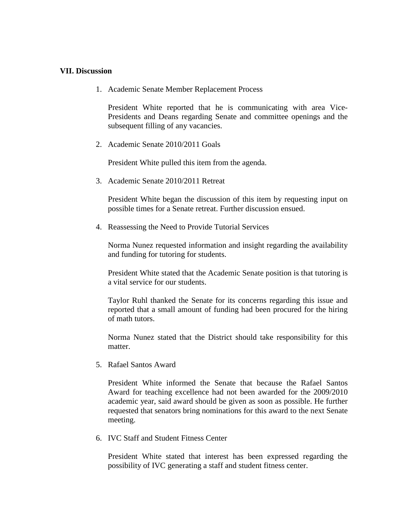#### **VII. Discussion**

1. Academic Senate Member Replacement Process

President White reported that he is communicating with area Vice-Presidents and Deans regarding Senate and committee openings and the subsequent filling of any vacancies.

2. Academic Senate 2010/2011 Goals

President White pulled this item from the agenda.

3. Academic Senate 2010/2011 Retreat

President White began the discussion of this item by requesting input on possible times for a Senate retreat. Further discussion ensued.

4. Reassessing the Need to Provide Tutorial Services

Norma Nunez requested information and insight regarding the availability and funding for tutoring for students.

President White stated that the Academic Senate position is that tutoring is a vital service for our students.

Taylor Ruhl thanked the Senate for its concerns regarding this issue and reported that a small amount of funding had been procured for the hiring of math tutors.

Norma Nunez stated that the District should take responsibility for this matter.

5. Rafael Santos Award

President White informed the Senate that because the Rafael Santos Award for teaching excellence had not been awarded for the 2009/2010 academic year, said award should be given as soon as possible. He further requested that senators bring nominations for this award to the next Senate meeting.

6. IVC Staff and Student Fitness Center

President White stated that interest has been expressed regarding the possibility of IVC generating a staff and student fitness center.